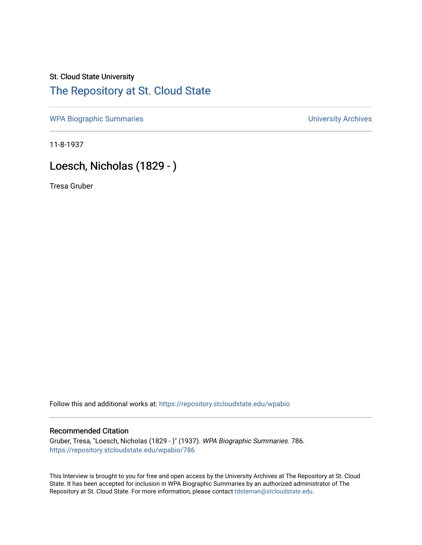## St. Cloud State University

### [The Repository at St. Cloud State](https://repository.stcloudstate.edu/)

[WPA Biographic Summaries](https://repository.stcloudstate.edu/wpabio) **WPA Biographic Summaries University Archives** 

11-8-1937

## Loesch, Nicholas (1829 - )

Tresa Gruber

Follow this and additional works at: [https://repository.stcloudstate.edu/wpabio](https://repository.stcloudstate.edu/wpabio?utm_source=repository.stcloudstate.edu%2Fwpabio%2F786&utm_medium=PDF&utm_campaign=PDFCoverPages) 

#### Recommended Citation

Gruber, Tresa, "Loesch, Nicholas (1829 - )" (1937). WPA Biographic Summaries. 786. [https://repository.stcloudstate.edu/wpabio/786](https://repository.stcloudstate.edu/wpabio/786?utm_source=repository.stcloudstate.edu%2Fwpabio%2F786&utm_medium=PDF&utm_campaign=PDFCoverPages) 

This Interview is brought to you for free and open access by the University Archives at The Repository at St. Cloud State. It has been accepted for inclusion in WPA Biographic Summaries by an authorized administrator of The Repository at St. Cloud State. For more information, please contact [tdsteman@stcloudstate.edu.](mailto:tdsteman@stcloudstate.edu)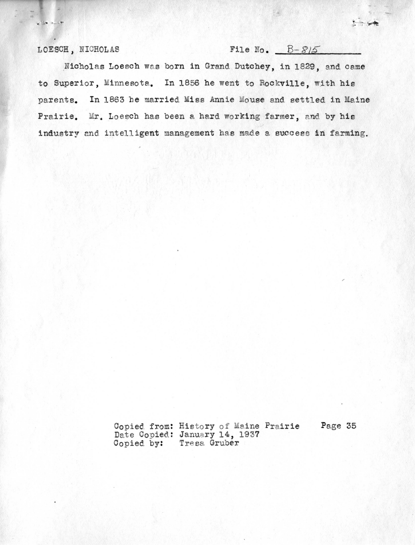LOESCH, NICHOLAS

 $x + 14$ 

File No.  $B-S/5$ 

Nicholas Loesch was born in Grand Dutchey, in 1829, and came to Superior, Minnesota. In 1856 he went to Rockville, with his In 1863 he married Miss Annie Mouse and settled in Maine parents. Prairie. Mr. Loesch has been a hard working farmer, and by his industry and intelligent management has made a success in farming.

> Copied from: History of Maine Prairie Date Copied: January 14, 1937<br>Copied by: Tresa Gruber

Page 35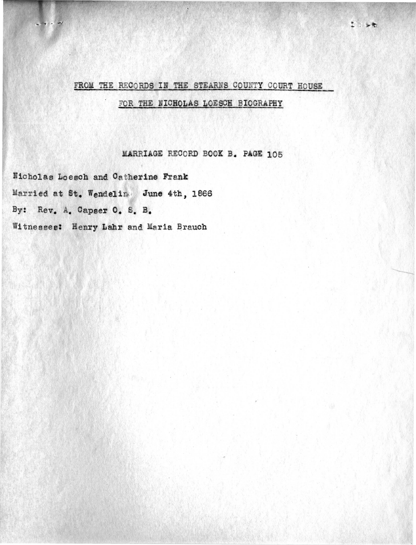# FROM THE RECORDS IN THE STEARNS COUNTY COURT HOUSE FOR THE NICHOLAS LOESCH BIOGRAPHY

 $2.56$ 

MARRIAGE RECORD BOOK B. PAGE 105

Nicholas Loesch and Catherine Frank Married at St. Wendelin June 4th, 1866 By: Rev. A. Capser O. S. B. Witnesses: Henry Lahr and Maria Brauch